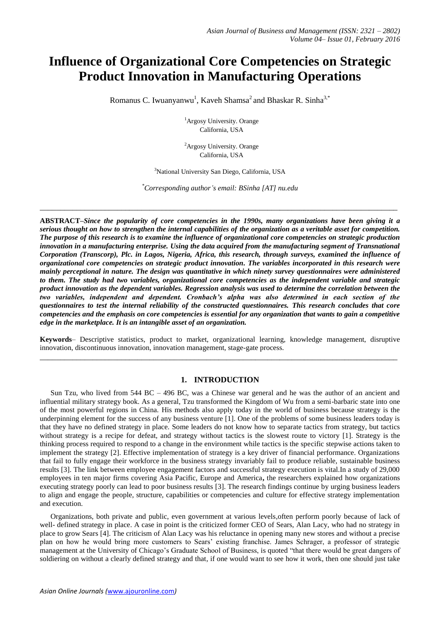# **Influence of Organizational Core Competencies on Strategic Product Innovation in Manufacturing Operations**

Romanus C. Iwuanyanwu<sup>1</sup>, Kaveh Shamsa<sup>2</sup> and Bhaskar R. Sinha<sup>3,\*</sup>

<sup>1</sup>Argosy University. Orange California, USA

<sup>2</sup>Argosy University. Orange California, USA

<sup>3</sup>National University San Diego, California, USA

*\*Corresponding author's email: BSinha [\[AT\] nu.edu](mailto:inha@nu.edu)*

**\_\_\_\_\_\_\_\_\_\_\_\_\_\_\_\_\_\_\_\_\_\_\_\_\_\_\_\_\_\_\_\_\_\_\_\_\_\_\_\_\_\_\_\_\_\_\_\_\_\_\_\_\_\_\_\_\_\_\_\_\_\_\_\_\_\_\_\_\_\_\_\_\_\_\_\_\_\_\_\_\_\_\_\_\_\_\_\_**

**ABSTRACT***–Since the popularity of core competencies in the 1990s, many organizations have been giving it a serious thought on how to strengthen the internal capabilities of the organization as a veritable asset for competition. The purpose of this research is to examine the influence of organizational core competencies on strategic production innovation in a manufacturing enterprise. Using the data acquired from the manufacturing segment of Transnational Corporation (Transcorp), Plc. in Lagos, Nigeria, Africa, this research, through surveys, examined the influence of organizational core competencies on strategic product innovation. The variables incorporated in this research were mainly perceptional in nature. The design was quantitative in which ninety survey questionnaires were administered to them. The study had two variables, organizational core competencies as the independent variable and strategic product innovation as the dependent variables. Regression analysis was used to determine the correlation between the two variables, independent and dependent. Cronbach's alpha was also determined in each section of the questionnaires to test the internal reliability of the constructed questionnaires. This research concludes that core competencies and the emphasis on core competencies is essential for any organization that wants to gain a competitive edge in the marketplace. It is an intangible asset of an organization.*

**Keywords**– Descriptive statistics, product to market, organizational learning, knowledge management, disruptive innovation, discontinuous innovation, innovation management, stage-gate process. **\_\_\_\_\_\_\_\_\_\_\_\_\_\_\_\_\_\_\_\_\_\_\_\_\_\_\_\_\_\_\_\_\_\_\_\_\_\_\_\_\_\_\_\_\_\_\_\_\_\_\_\_\_\_\_\_\_\_\_\_\_\_\_\_\_\_\_\_\_\_\_\_\_\_\_\_\_\_\_\_\_\_\_\_\_\_\_\_**

## **1. INTRODUCTION**

Sun Tzu, who lived from 544 BC – 496 BC, was a Chinese war general and he was the author of an ancient and influential military strategy book. As a general, Tzu transformed the Kingdom of Wu from a semi-barbaric state into one of the most powerful regions in China. His methods also apply today in the world of business because strategy is the underpinning element for the success of any business venture [1]. One of the problems of some business leaders today is that they have no defined strategy in place. Some leaders do not know how to separate tactics from strategy, but tactics without strategy is a recipe for defeat, and strategy without tactics is the slowest route to victory [1]. Strategy is the thinking process required to respond to a change in the environment while tactics is the specific stepwise actions taken to implement the strategy [2]. Effective implementation of strategy is a key driver of financial performance. Organizations that fail to fully engage their workforce in the business strategy invariably fail to produce reliable, sustainable business results [3]. The link between employee engagement factors and successful strategy execution is vital.In a study of 29,000 employees in ten major firms covering Asia Pacific, Europe and America**,** the researchers explained how organizations executing strategy poorly can lead to poor business results [3]. The research findings continue by urging business leaders to align and engage the people, structure, capabilities or competencies and culture for effective strategy implementation and execution.

Organizations, both private and public, even government at various levels,often perform poorly because of lack of well- defined strategy in place. A case in point is the criticized former CEO of Sears, Alan Lacy, who had no strategy in place to grow Sears [4]. The criticism of Alan Lacy was his reluctance in opening many new stores and without a precise plan on how he would bring more customers to Sears' existing franchise. James Schrager, a professor of strategic management at the University of Chicago's Graduate School of Business, is quoted "that there would be great dangers of soldiering on without a clearly defined strategy and that, if one would want to see how it work, then one should just take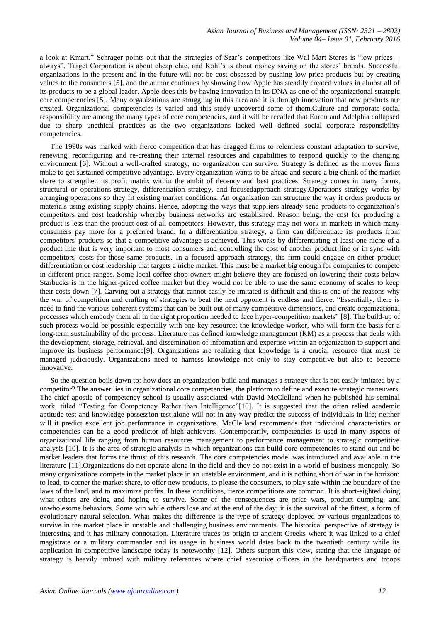a look at Kmart." Schrager points out that the strategies of Sear's competitors like Wal-Mart Stores is "low prices always‖, Target Corporation is about cheap chic, and Kohl's is about money saving on the stores' brands. Successful organizations in the present and in the future will not be cost-obsessed by pushing low price products but by creating values to the consumers [5], and the author continues by showing how Apple has steadily created values in almost all of its products to be a global leader. Apple does this by having innovation in its DNA as one of the organizational strategic core competencies [5]. Many organizations are struggling in this area and it is through innovation that new products are created. Organizational competencies is varied and this study uncovered some of them.Culture and corporate social responsibility are among the many types of core competencies, and it will be recalled that Enron and Adelphia collapsed due to sharp unethical practices as the two organizations lacked well defined social corporate responsibility competencies.

The 1990s was marked with fierce competition that has dragged firms to relentless constant adaptation to survive, renewing, reconfiguring and re-creating their internal resources and capabilities to respond quickly to the changing environment [6]. Without a well-crafted strategy, no organization can survive. Strategy is defined as the moves firms make to get sustained competitive advantage. Every organization wants to be ahead and secure a big chunk of the market share to strengthen its profit matrix within the ambit of decency and best practices. Strategy comes in many forms, structural or operations strategy, differentiation strategy, and focusedapproach strategy.Operations strategy works by arranging operations so they fit existing market conditions. An organization can structure the way it orders products or materials using existing supply chains. Hence, adopting the ways that suppliers already send products to organization's competitors and cost leadership whereby business networks are established. Reason being, the cost for producing a product is less than the product cost of all competitors. However, this strategy may not work in markets in which many consumers pay more for a preferred brand. In a differentiation strategy, a firm can differentiate its products from competitors' products so that a competitive advantage is achieved. This works by differentiating at least one niche of a product line that is very important to most consumers and controlling the cost of another product line or in sync with competitors' costs for those same products. In a focused approach strategy, the firm could engage on either product differentiation or cost leadership that targets a niche market. This must be a market big enough for companies to compete in different price ranges. Some local coffee shop owners might believe they are focused on lowering their costs below Starbucks is in the higher-priced coffee market but they would not be able to use the same economy of scales to keep their costs down [7]. Carving out a strategy that cannot easily be imitated is difficult and this is one of the reasons why the war of competition and crafting of strategies to beat the next opponent is endless and fierce. "Essentially, there is need to find the various coherent systems that can be built out of many competitive dimensions, and create organizational processes which embody them all in the right proportion needed to face hyper-competition markets‖ [8]. The build-up of such process would be possible especially with one key resource; the knowledge worker, who will form the basis for a long-term sustainability of the process. Literature has defined knowledge management (KM) as a process that deals with the development, storage, retrieval, and dissemination of information and expertise within an organization to support and improve its business performance[9]. Organizations are realizing that knowledge is a crucial resource that must be managed judiciously. Organizations need to harness knowledge not only to stay competitive but also to become innovative.

So the question boils down to: how does an organization build and manages a strategy that is not easily imitated by a competitor? The answer lies in organizational core competencies, the platform to define and execute strategic maneuvers. The chief apostle of competency school is usually associated with David McClelland when he published his seminal work, titled "Testing for Competency Rather than Intelligence"[10]. It is suggested that the often relied academic aptitude test and knowledge possession test alone will not in any way predict the success of individuals in life; neither will it predict excellent job performance in organizations. McClelland recommends that individual characteristics or competencies can be a good predictor of high achievers. Contemporarily, competencies is used in many aspects of organizational life ranging from human resources management to performance management to strategic competitive analysis [10]. It is the area of strategic analysis in which organizations can build core competencies to stand out and be market leaders that forms the thrust of this research. The core competencies model was introduced and available in the literature [11].Organizations do not operate alone in the field and they do not exist in a world of business monopoly. So many organizations compete in the market place in an unstable environment, and it is nothing short of war in the horizon: to lead, to corner the market share, to offer new products, to please the consumers, to play safe within the boundary of the laws of the land, and to maximize profits. In these conditions, fierce competitions are common. It is short-sighted doing what others are doing and hoping to survive. Some of the consequences are price wars, product dumping, and unwholesome behaviors. Some win while others lose and at the end of the day; it is the survival of the fittest, a form of evolutionary natural selection. What makes the difference is the type of strategy deployed by various organizations to survive in the market place in unstable and challenging business environments. The historical perspective of strategy is interesting and it has military connotation. Literature traces its origin to ancient Greeks where it was linked to a chief magistrate or a military commander and its usage in business world dates back to the twentieth century while its application in competitive landscape today is noteworthy [12]. Others support this view, stating that the language of strategy is heavily imbued with military references where chief executive officers in the headquarters and troops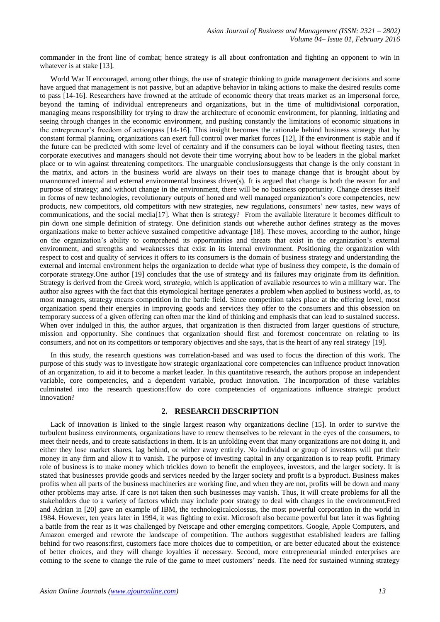commander in the front line of combat; hence strategy is all about confrontation and fighting an opponent to win in whatever is at stake [13].

World War II encouraged, among other things, the use of strategic thinking to guide management decisions and some have argued that management is not passive, but an adaptive behavior in taking actions to make the desired results come to pass [14-16]. Researchers have frowned at the attitude of economic theory that treats market as an impersonal force, beyond the taming of individual entrepreneurs and organizations, but in the time of multidivisional corporation, managing means responsibility for trying to draw the architecture of economic environment, for planning, initiating and seeing through changes in the economic environment, and pushing constantly the limitations of economic situations in the entrepreneur's freedom of actionpass [14-16]. This insight becomes the rationale behind business strategy that by constant formal planning, organizations can exert full control over market forces [12], If the environment is stable and if the future can be predicted with some level of certainty and if the consumers can be loyal without fleeting tastes, then corporate executives and managers should not devote their time worrying about how to be leaders in the global market place or to win against threatening competitors. The unarguable conclusionsuggests that change is the only constant in the matrix, and actors in the business world are always on their toes to manage change that is brought about by unannounced internal and external environmental business driver(s). It is argued that change is both the reason for and purpose of strategy; and without change in the environment, there will be no business opportunity. Change dresses itself in forms of new technologies, revolutionary outputs of honed and well managed organization's core competencies, new products, new competitors, old competitors with new strategies, new regulations, consumers' new tastes, new ways of communications, and the social media[17]. What then is strategy? From the available literature it becomes difficult to pin down one simple definition of strategy. One definition stands out wherethe author defines strategy as the moves organizations make to better achieve sustained competitive advantage [18]. These moves, according to the author, hinge on the organization's ability to comprehend its opportunities and threats that exist in the organization's external environment, and strengths and weaknesses that exist in its internal environment. Positioning the organization with respect to cost and quality of services it offers to its consumers is the domain of business strategy and understanding the external and internal environment helps the organization to decide what type of business they compete, is the domain of corporate strategy.One author [19] concludes that the use of strategy and its failures may originate from its definition. Strategy is derived from the Greek word, *strategia*, which is application of available resources to win a military war. The author also agrees with the fact that this etymological heritage generates a problem when applied to business world, as, to most managers, strategy means competition in the battle field. Since competition takes place at the offering level, most organization spend their energies in improving goods and services they offer to the consumers and this obsession on temporary success of a given offering can often mar the kind of thinking and emphasis that can lead to sustained success. When over indulged in this, the author argues, that organization is then distracted from larger questions of structure, mission and opportunity. She continues that organization should first and foremost concentrate on relating to its consumers, and not on its competitors or temporary objectives and she says, that is the heart of any real strategy [19].

In this study, the research questions was correlation-based and was used to focus the direction of this work. The purpose of this study was to investigate how strategic organizational core competencies can influence product innovation of an organization, to aid it to become a market leader. In this quantitative research, the authors propose an independent variable, core competencies, and a dependent variable, product innovation. The incorporation of these variables culminated into the research questions:How do core competencies of organizations influence strategic product innovation?

# **2. RESEARCH DESCRIPTION**

Lack of innovation is linked to the single largest reason why organizations decline [15]. In order to survive the turbulent business environments, organizations have to renew themselves to be relevant in the eyes of the consumers, to meet their needs, and to create satisfactions in them. It is an unfolding event that many organizations are not doing it, and either they lose market shares, lag behind, or wither away entirely. No individual or group of investors will put their money in any firm and allow it to vanish. The purpose of investing capital in any organization is to reap profit. Primary role of business is to make money which trickles down to benefit the employees, investors, and the larger society. It is stated that businesses provide goods and services needed by the larger society and profit is a byproduct. Business makes profits when all parts of the business machineries are working fine, and when they are not, profits will be down and many other problems may arise. If care is not taken then such businesses may vanish. Thus, it will create problems for all the stakeholders due to a variety of factors which may include poor strategy to deal with changes in the environment.Fred and Adrian in [20] gave an example of IBM, the technologicalcolossus, the most powerful corporation in the world in 1984. However, ten years later in 1994, it was fighting to exist. Microsoft also became powerful but later it was fighting a battle from the rear as it was challenged by Netscape and other emerging competitors. Google, Apple Computers, and Amazon emerged and rewrote the landscape of competition. The authors suggestthat established leaders are falling behind for two reasons:first, customers face more choices due to competition, or are better educated about the existence of better choices, and they will change loyalties if necessary. Second, more entrepreneurial minded enterprises are coming to the scene to change the rule of the game to meet customers' needs. The need for sustained winning strategy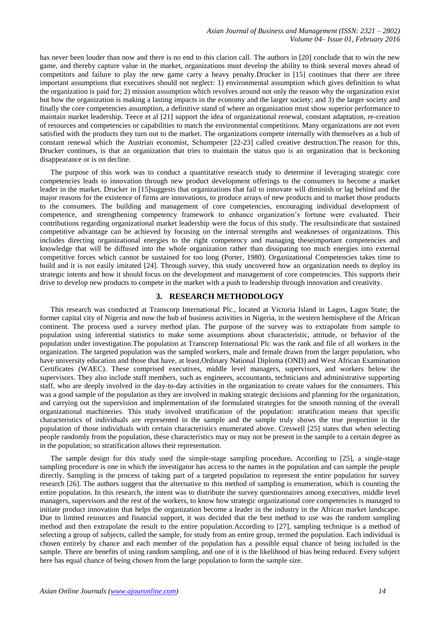has never been louder than now and there is no end to this clarion call. The authors in [20] conclude that to win the new game, and thereby capture value in the market, organizations must develop the ability to think several moves ahead of competitors and failure to play the new game carry a heavy penalty.Drucker in [15] continues that there are three important assumptions that executives should not neglect: 1) environmental assumption which gives definition to what the organization is paid for; 2) mission assumption which revolves around not only the reason why the organization exist but how the organization is making a lasting impacts in the economy and the larger society; and 3) the larger society and finally the core competencies assumption, a definitive stand of where an organization must show superior performance to maintain market leadership. Teece et al [21] support the idea of organizational renewal, constant adaptation, re-creation of resources and competencies or capabilities to match the environmental competitions. Many organizations are not even satisfied with the products they turn out to the market. The organizations compete internally with themselves as a hub of constant renewal which the Austrian economist, Schumpeter [22-23] called creative destruction.The reason for this, Drucker continues, is that an organization that tries to maintain the status quo is an organization that is beckoning disappearance or is on decline.

The purpose of this work was to conduct a quantitative research study to determine if leveraging strategic core competencies leads to innovation through new product development offerings to the consumers to become a market leader in the market. Drucker in [15]suggests that organizations that fail to innovate will diminish or lag behind and the major reasons for the existence of firms are innovations, to produce arrays of new products and to market those products to the consumers. The building and management of core competencies, encouraging individual development of competence, and strengthening competency framework to enhance organization's fortune were evaluated. Their contributions regarding organizational market leadership were the focus of this study. The resultsindicate that sustained competitive advantage can be achieved by focusing on the internal strengths and weaknesses of organizations. This includes directing organizational energies to the right competency and managing theseimportant competencies and knowledge that will be diffused into the whole organization rather than dissipating too much energies into external competitive forces which cannot be sustained for too long (Porter, 1980). Organizational Competencies takes time to build and it is not easily imitated [24]. Through survey, this study uncovered how an organization needs to deploy its strategic intents and how it should focus on the development and management of core competencies. This supports their drive to develop new products to compete in the market with a push to leadership through innovation and creativity.

## **3. RESEARCH METHODOLOGY**

This research was conducted at Transcorp International Plc., located at Victoria Island in Lagos, Lagos State; the former capital city of Nigeria and now the hub of business activities in Nigeria, in the western hemisphere of the African continent. The process used a survey method plan. The purpose of the survey was to extrapolate from sample to population using inferential statistics to make some assumptions about characteristic, attitude, or behavior of the population under investigation.The population at Transcorp International Plc was the rank and file of all workers in the organization. The targeted population was the sampled workers, male and female drawn from the larger population, who have university education and those that have, at least,Ordinary National Diploma (OND) and West African Examination Certificates (WAEC). These comprised executives, middle level managers, supervisors, and workers below the supervisors. They also include staff members, such as engineers, accountants, technicians and administrative supporting staff, who are deeply involved in the day-to-day activities in the organization to create values for the consumers. This was a good sample of the population as they are involved in making strategic decisions and planning for the organization, and carrying out the supervision and implementation of the formulated strategies for the smooth running of the overall organizational machineries. This study involved stratification of the population: stratification means that specific characteristics of individuals are represented in the sample and the sample truly shows the true proportion in the population of those individuals with certain characteristics enumerated above. Creswell [25] states that when selecting people randomly from the population, these characteristics may or may not be present in the sample to a certain degree as in the population; so stratification allows their representation.

The sample design for this study used the simple-stage sampling procedure*.* According to [25], a single-stage sampling procedure is one in which the investigator has access to the names in the population and can sample the people directly. Sampling is the process of taking part of a targeted population to represent the entire population for survey research [26]. The authors suggest that the alternative to this method of sampling is enumeration, which is counting the entire population. In this research, the intent was to distribute the survey questionnaires among executives, middle level managers, supervisors and the rest of the workers, to know how strategic organizational core competencies is managed to initiate product innovation that helps the organization become a leader in the industry in the African market landscape. Due to limited resources and financial support, it was decided that the best method to use was the random sampling method and then extrapolate the result to the entire population.According to [27], sampling technique is a method of selecting a group of subjects, called the sample, for study from an entire group, termed the population. Each individual is chosen entirely by chance and each member of the population has a possible equal chance of being included in the sample. There are benefits of using random sampling, and one of it is the likelihood of bias being reduced. Every subject here has equal chance of being chosen from the large population to form the sample size.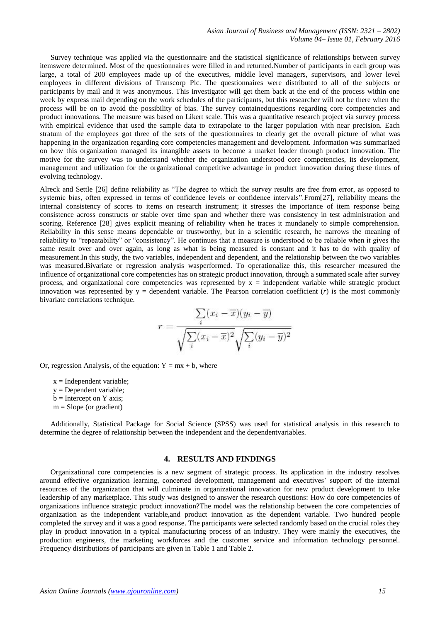Survey technique was applied via the questionnaire and the statistical significance of relationships between survey itemswere determined. Most of the questionnaires were filled in and returned.Number of participants in each group was large, a total of 200 employees made up of the executives, middle level managers, supervisors, and lower level employees in different divisions of Transcorp Plc. The questionnaires were distributed to all of the subjects or participants by mail and it was anonymous. This investigator will get them back at the end of the process within one week by express mail depending on the work schedules of the participants, but this researcher will not be there when the process will be on to avoid the possibility of bias. The survey containedquestions regarding core competencies and product innovations. The measure was based on Likert scale. This was a quantitative research project via survey process with empirical evidence that used the sample data to extrapolate to the larger population with near precision. Each stratum of the employees got three of the sets of the questionnaires to clearly get the overall picture of what was happening in the organization regarding core competencies management and development. Information was summarized on how this organization managed its intangible assets to become a market leader through product innovation. The motive for the survey was to understand whether the organization understood core competencies, its development, management and utilization for the organizational competitive advantage in product innovation during these times of evolving technology.

Alreck and Settle [26] define reliability as "The degree to which the survey results are free from error, as opposed to systemic bias, often expressed in terms of confidence levels or confidence intervals". From[27], reliability means the internal consistency of scores to items on research instrument; it stresses the importance of item response being consistence across constructs or stable over time span and whether there was consistency in test administration and scoring. Reference [28] gives explicit meaning of reliability when he traces it mundanely to simple comprehension. Reliability in this sense means dependable or trustworthy, but in a scientific research, he narrows the meaning of reliability to "repeatability" or "consistency". He continues that a measure is understood to be reliable when it gives the same result over and over again, as long as what is being measured is constant and it has to do with quality of measurement.In this study, the two variables, independent and dependent, and the relationship between the two variables was measured.Bivariate or regression analysis wasperformed. To operationalize this, this researcher measured the influence of organizational core competencies has on strategic product innovation, through a summated scale after survey process, and organizational core competencies was represented by  $x =$  independent variable while strategic product innovation was represented by  $y =$  dependent variable. The Pearson correlation coefficient  $(r)$  is the most commonly bivariate correlations technique.

$$
r = \frac{\sum_{i} (x_i - \overline{x})(y_i - \overline{y})}{\sqrt{\sum_{i} (x_i - \overline{x})^2} \sqrt{\sum_{i} (y_i - \overline{y})^2}}
$$

Or, regression Analysis, of the equation:  $Y = mx + b$ , where

 $x =$ Independent variable;

 $y =$ Dependent variable;

 $b =$ Intercept on Y axis;

 $m =$ Slope (or gradient)

Additionally, Statistical Package for Social Science (SPSS) was used for statistical analysis in this research to determine the degree of relationship between the independent and the dependentvariables.

## **4. RESULTS AND FINDINGS**

Organizational core competencies is a new segment of strategic process. Its application in the industry resolves around effective organization learning, concerted development, management and executives' support of the internal resources of the organization that will culminate in organizational innovation for new product development to take leadership of any marketplace. This study was designed to answer the research questions: How do core competencies of organizations influence strategic product innovation?The model was the relationship between the core competencies of organization as the independent variable,and product innovation as the dependent variable. Two hundred people completed the survey and it was a good response. The participants were selected randomly based on the crucial roles they play in product innovation in a typical manufacturing process of an industry. They were mainly the executives, the production engineers, the marketing workforces and the customer service and information technology personnel. Frequency distributions of participants are given in Table 1 and Table 2.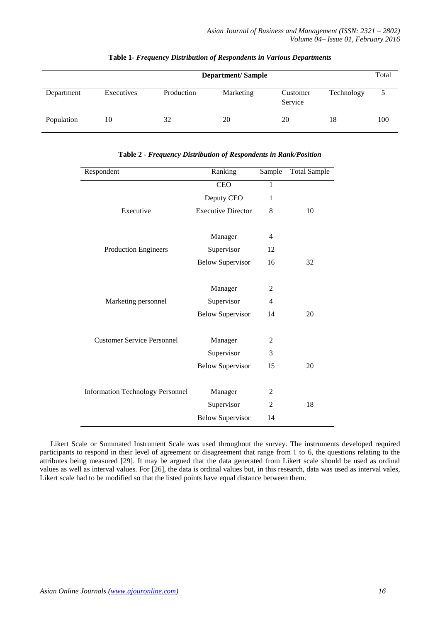|            |            | <b>Department/Sample</b> |           |                     |            |     |
|------------|------------|--------------------------|-----------|---------------------|------------|-----|
| Department | Executives | Production               | Marketing | Customer<br>Service | Technology |     |
| Population | 10         | 32                       | 20        | 20                  | 18         | 100 |

## **Table 1-** *Frequency Distribution of Respondents in Various Departments*

| Respondent                              | Ranking                   | Sample         | <b>Total Sample</b> |
|-----------------------------------------|---------------------------|----------------|---------------------|
|                                         | <b>CEO</b>                | $\mathbf{1}$   |                     |
|                                         | Deputy CEO                | 1              |                     |
| Executive                               | <b>Executive Director</b> | 8              | 10                  |
|                                         |                           |                |                     |
|                                         | Manager                   | 4              |                     |
| <b>Production Engineers</b>             | Supervisor                | 12             |                     |
|                                         | <b>Below Supervisor</b>   | 16             | 32                  |
|                                         |                           |                |                     |
|                                         | Manager                   | 2              |                     |
| Marketing personnel                     | Supervisor                | 4              |                     |
|                                         | <b>Below Supervisor</b>   | 14             | 20                  |
|                                         |                           |                |                     |
| <b>Customer Service Personnel</b>       | Manager                   | $\overline{c}$ |                     |
|                                         | Supervisor                | 3              |                     |
|                                         | <b>Below Supervisor</b>   | 15             | 20                  |
|                                         |                           |                |                     |
| <b>Information Technology Personnel</b> | Manager                   | 2              |                     |
|                                         | Supervisor                | $\overline{2}$ | 18                  |
|                                         | <b>Below Supervisor</b>   | 14             |                     |

#### **Table 2 -** *Frequency Distribution of Respondents in Rank/Position*

Likert Scale or Summated Instrument Scale was used throughout the survey. The instruments developed required participants to respond in their level of agreement or disagreement that range from 1 to 6, the questions relating to the attributes being measured [29]. It may be argued that the data generated from Likert scale should be used as ordinal values as well as interval values. For [26], the data is ordinal values but, in this research, data was used as interval vales, Likert scale had to be modified so that the listed points have equal distance between them.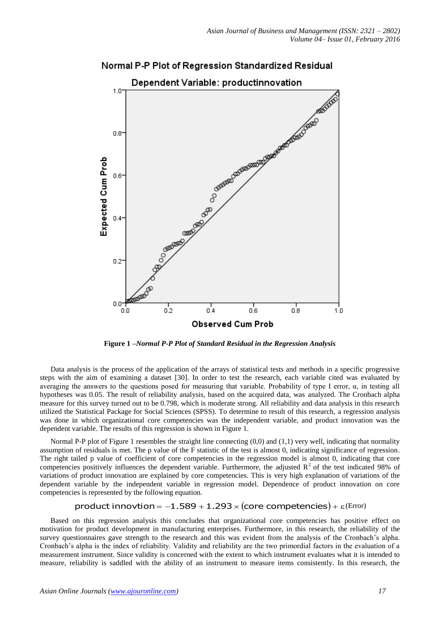

Normal P-P Plot of Regression Standardized Residual

**Figure 1 –***Normal P-P Plot of Standard Residual in the Regression Analysis*

Data analysis is the process of the application of the arrays of statistical tests and methods in a specific progressive steps with the aim of examining a dataset [30]. In order to test the research, each variable cited was evaluated by averaging the answers to the questions posed for measuring that variable. Probability of type I error,  $\alpha$ , in testing all hypotheses was 0.05. The result of reliability analysis, based on the acquired data, was analyzed. The Cronbach alpha measure for this survey turned out to be 0.798, which is moderate strong. All reliability and data analysis in this research utilized the Statistical Package for Social Sciences (SPSS). To determine to result of this research, a regression analysis was done in which organizational core competencies was the independent variable, and product innovation was the dependent variable. The results of this regression is shown in Figure 1.

Normal P-P plot of Figure 1 resembles the straight line connecting (0,0) and (1,1) very well, indicating that normality assumption of residuals is met. The p value of the F statistic of the test is almost 0, indicating significance of regression. The right tailed p value of coefficient of core competencies in the regression model is almost 0, indicating that core competencies positively influences the dependent variable. Furthermore, the adjusted  $R^2$  of the test indicated 98% of variations of product innovation are explained by core competencies. This is very high explanation of variations of the dependent variable by the independent variable in regression model. Dependence of product innovation on core competencies is represented by the following equation.

# product innovtion =  $-1.589 + 1.293 \times$  (core competencies) +  $\varepsilon$  (Error)

Based on this regression analysis this concludes that organizational core competencies has positive effect on motivation for product development in manufacturing enterprises. Furthermore, in this research, the reliability of the survey questionnaires gave strength to the research and this was evident from the analysis of the Cronbach's alpha. Cronbach's alpha is the index of reliability. Validity and reliability are the two primordial factors in the evaluation of a measurement instrument. Since validity is concerned with the extent to which instrument evaluates what it is intended to measure, reliability is saddled with the ability of an instrument to measure items consistently. In this research, the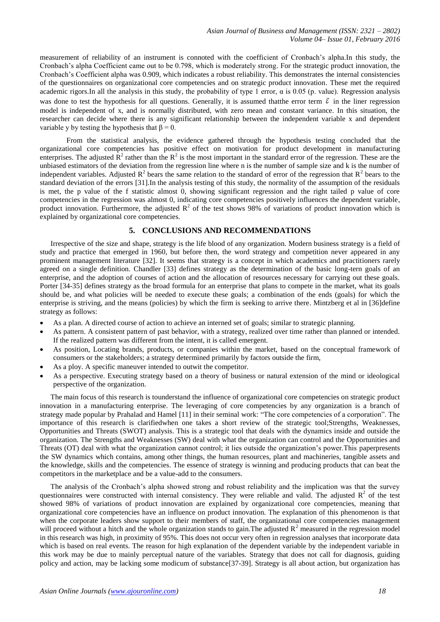measurement of reliability of an instrument is connoted with the coefficient of Cronbach's alpha.In this study, the Cronbach's alpha Coefficient came out to be 0.798, which is moderately strong. For the strategic product innovation, the Cronbach's Coefficient alpha was 0.909, which indicates a robust reliability. This demonstrates the internal consistencies of the questionnaires on organizational core competencies and on strategic product innovation. These met the required academic rigors. In all the analysis in this study, the probability of type 1 error,  $\alpha$  is 0.05 (p. value). Regression analysis was done to test the hypothesis for all questions. Generally, it is assumed that the error term  $\epsilon$  in the liner regression model is independent of x, and is normally distributed, with zero mean and constant variance. In this situation, the researcher can decide where there is any significant relationship between the independent variable x and dependent variable y by testing the hypothesis that  $\beta = 0$ .

From the statistical analysis, the evidence gathered through the hypothesis testing concluded that the organizational core competencies has positive effect on motivation for product development in manufacturing enterprises. The adjusted  $\mathbb{R}^2$  rather than the  $\mathbb{R}^2$  is the most important in the standard error of the regression. These are the unbiased estimators of the deviation from the regression line where n is the number of sample size and k is the number of independent variables. Adjusted  $R^2$  bears the same relation to the standard of error of the regression that  $R^2$  bears to the standard deviation of the errors [31].In the analysis testing of this study, the normality of the assumption of the residuals is met, the p value of the f statistic almost 0, showing significant regression and the right tailed p value of core competencies in the regression was almost 0, indicating core competencies positively influences the dependent variable, product innovation. Furthermore, the adjusted  $R^2$  of the test shows 98% of variations of product innovation which is explained by organizational core competencies.

# **5. CONCLUSIONS AND RECOMMENDATIONS**

Irrespective of the size and shape, strategy is the life blood of any organization. Modern business strategy is a field of study and practice that emerged in 1960, but before then, the word strategy and competition never appeared in any prominent management literature [32]. It seems that strategy is a concept in which academics and practitioners rarely agreed on a single definition. Chandler [33] defines strategy as the determination of the basic long-tern goals of an enterprise, and the adoption of courses of action and the allocation of resources necessary for carrying out these goals. Porter [34-35] defines strategy as the broad formula for an enterprise that plans to compete in the market, what its goals should be, and what policies will be needed to execute these goals; a combination of the ends (goals) for which the enterprise is striving, and the means (policies) by which the firm is seeking to arrive there. Mintzberg et al in [36]define strategy as follows:

- As a plan. A directed course of action to achieve an interned set of goals; similar to strategic planning.
- As pattern. A consistent pattern of past behavior, with a strategy, realized over time rather than planned or intended. If the realized pattern was different from the intent, it is called emergent.
- As position, Locating brands, products, or companies within the market, based on the conceptual framework of consumers or the stakeholders; a strategy determined primarily by factors outside the firm,
- As a ploy. A specific maneuver intended to outwit the competitor.
- As a perspective. Executing strategy based on a theory of business or natural extension of the mind or ideological perspective of the organization.

The main focus of this research is tounderstand the influence of organizational core competencies on strategic product innovation in a manufacturing enterprise. The leveraging of core competencies by any organization is a branch of strategy made popular by Prahalad and Hamel [11] in their seminal work: "The core competencies of a corporation". The importance of this research is clarifiedwhen one takes a short review of the strategic tool;Strengths, Weaknesses, Opportunities and Threats (SWOT) analysis. This is a strategic tool that deals with the dynamics inside and outside the organization. The Strengths and Weaknesses (SW) deal with what the organization can control and the Opportunities and Threats (OT) deal with what the organization cannot control; it lies outside the organization's power.This paperpresents the SW dynamics which contains, among other things, the human resources, plant and machineries, tangible assets and the knowledge, skills and the competencies. The essence of strategy is winning and producing products that can beat the competitors in the marketplace and be a value-add to the consumers.

The analysis of the Cronbach's alpha showed strong and robust reliability and the implication was that the survey questionnaires were constructed with internal consistency. They were reliable and valid. The adjusted  $\mathbb{R}^2$  of the test showed 98% of variations of product innovation are explained by organizational core competencies, meaning that organizational core competencies have an influence on product innovation. The explanation of this phenomenon is that when the corporate leaders show support to their members of staff, the organizational core competencies management will proceed without a hitch and the whole organization stands to gain. The adjusted  $R<sup>2</sup>$  measured in the regression model in this research was high, in proximity of 95%. This does not occur very often in regression analyses that incorporate data which is based on real events. The reason for high explanation of the dependent variable by the independent variable in this work may be due to mainly perceptual nature of the variables. Strategy that does not call for diagnosis, guiding policy and action, may be lacking some modicum of substance[37-39]. Strategy is all about action, but organization has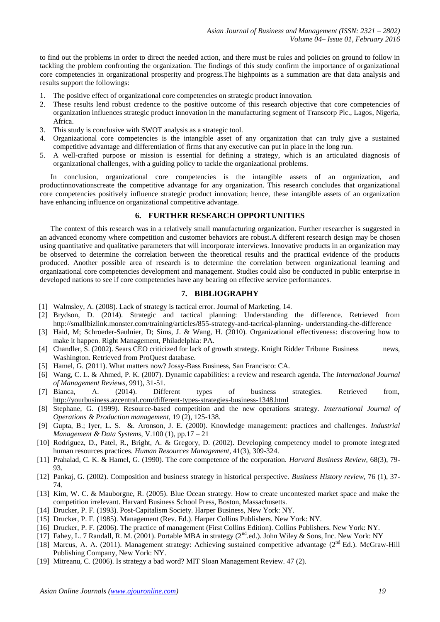to find out the problems in order to direct the needed action, and there must be rules and policies on ground to follow in tackling the problem confronting the organization. The findings of this study confirm the importance of organizational core competencies in organizational prosperity and progress.The highpoints as a summation are that data analysis and results support the followings:

- 1. The positive effect of organizational core competencies on strategic product innovation.
- 2. These results lend robust credence to the positive outcome of this research objective that core competencies of organization influences strategic product innovation in the manufacturing segment of Transcorp Plc., Lagos, Nigeria, Africa.
- 3. This study is conclusive with SWOT analysis as a strategic tool.
- 4. Organizational core competencies is the intangible asset of any organization that can truly give a sustained competitive advantage and differentiation of firms that any executive can put in place in the long run.
- 5. A well-crafted purpose or mission is essential for defining a strategy, which is an articulated diagnosis of organizational challenges, with a guiding policy to tackle the organizational problems.

In conclusion, organizational core competencies is the intangible assets of an organization, and productinnovationscreate the competitive advantage for any organization. This research concludes that organizational core competencies positively influence strategic product innovation; hence, these intangible assets of an organization have enhancing influence on organizational competitive advantage.

#### **6. FURTHER RESEARCH OPPORTUNITIES**

The context of this research was in a relatively small manufacturing organization. Further researcher is suggested in an advanced economy where competition and customer behaviors are robust.A different research design may be chosen using quantitative and qualitative parameters that will incorporate interviews. Innovative products in an organization may be observed to determine the correlation between the theoretical results and the practical evidence of the products produced. Another possible area of research is to determine the correlation between organizational learning and organizational core competencies development and management. Studies could also be conducted in public enterprise in developed nations to see if core competencies have any bearing on effective service performances.

#### **7. BIBLIOGRAPHY**

- [1] Walmsley, A. (2008). Lack of strategy is tactical error. Journal of Marketing, 14.
- [2] Brydson, D. (2014). Strategic and tactical planning: Understanding the difference. Retrieved from [http://smallbizlink.monster.com/training/articles/855-strategy-and-tacrical-planning-](http://smallbizlink.monster.com/training/articles/855-strategy-and-tacrical-planning-%09understanding-the) understanding-the-difference
- [3] Haid, M; Schroeder-Saulnier, D; Sims, J. & Wang, H. (2010). Organizational effectiveness: discovering how to make it happen. Right Management, Philadelphia: PA.
- [4] Chandler, S. (2002). Sears CEO criticized for lack of growth strategy. Knight Ridder Tribune Business news, Washington. Retrieved from ProQuest database.
- [5] Hamel, G. (2011). What matters now? Jossy-Bass Business, San Francisco: CA.
- [6] Wang, C. L. & Ahmed, P. K. (2007). Dynamic capabilities: a review and research agenda. The *International Journal of Management Reviews*, 991), 31-51.
- [7] Bianca, A. (2014). Different types of business strategies. Retrieved from, <http://yourbusiness.azcentral.com/different-types-strategies-business-1348.html>
- [8] Stephane, G. (1999). Resource-based competition and the new operations strategy*. International Journal of Operations & Production management,* 19 (2), 125-138.
- [9] Gupta, B.; Iyer, L. S. &. Aronson, J. E. (2000). Knowledge management: practices and challenges. *Industrial Management & Data Systems*, V.100 (1), pp.17 – 21
- [10] Rodriguez, D., Patel, R., Bright, A. & Gregory, D. (2002). Developing competency model to promote integrated human resources practices. *Human Resources Management*, 41(3), 309-324.
- [11] Prahalad, C. K. & Hamel, G. (1990). The core competence of the corporation. *Harvard Business Review,* 68(3), 79- 93.
- [12] Pankaj, G. (2002). Composition and business strategy in historical perspective. *Business History review,* 76 (1), 37- 74.
- [13] Kim, W. C. & Mauborgne, R. (2005). Blue Ocean strategy. How to create uncontested market space and make the competition irrelevant. Harvard Business School Press, Boston, Massachusetts.
- [14] Drucker, P. F. (1993). Post-Capitalism Society. Harper Business, New York: NY.
- [15] Drucker, P. F. (1985). Management (Rev. Ed.). Harper Collins Publishers. New York: NY.
- [16] Drucker, P. F. (2006). The practice of management (First Collins Edition). Collins Publishers. New York: NY.
- [17] Fahey, L. 7 Randall, R. M. (2001). Portable MBA in strategy (2<sup>nd</sup>.ed.). John Wiley & Sons, Inc. New York: NY
- [18] Marcus, A. A. (2011). Management strategy: Achieving sustained competitive advantage (2<sup>nd</sup> Ed.). McGraw-Hill Publishing Company, New York: NY.
- [19] Mitreanu, C. (2006). Is strategy a bad word? MIT Sloan Management Review. 47 (2).